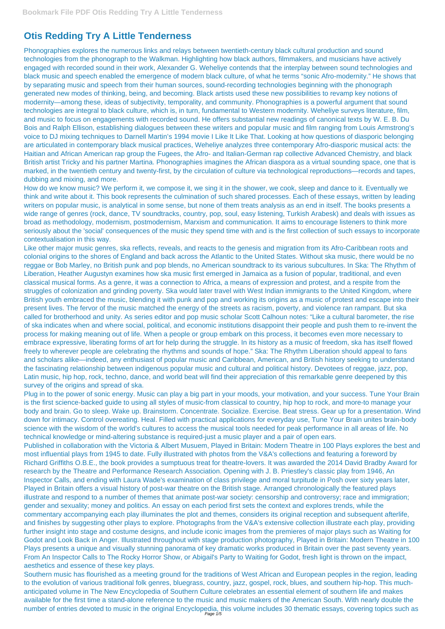## **Otis Redding Try A Little Tenderness**

Phonographies explores the numerous links and relays between twentieth-century black cultural production and sound technologies from the phonograph to the Walkman. Highlighting how black authors, filmmakers, and musicians have actively engaged with recorded sound in their work, Alexander G. Weheliye contends that the interplay between sound technologies and black music and speech enabled the emergence of modern black culture, of what he terms "sonic Afro-modernity." He shows that by separating music and speech from their human sources, sound-recording technologies beginning with the phonograph generated new modes of thinking, being, and becoming. Black artists used these new possibilities to revamp key notions of modernity—among these, ideas of subjectivity, temporality, and community. Phonographies is a powerful argument that sound technologies are integral to black culture, which is, in turn, fundamental to Western modernity. Weheliye surveys literature, film, and music to focus on engagements with recorded sound. He offers substantial new readings of canonical texts by W. E. B. Du Bois and Ralph Ellison, establishing dialogues between these writers and popular music and film ranging from Louis Armstrong's voice to DJ mixing techniques to Darnell Martin's 1994 movie I Like It Like That. Looking at how questions of diasporic belonging are articulated in contemporary black musical practices, Weheliye analyzes three contemporary Afro-diasporic musical acts: the Haitian and African American rap group the Fugees, the Afro- and Italian-German rap collective Advanced Chemistry, and black British artist Tricky and his partner Martina. Phonographies imagines the African diaspora as a virtual sounding space, one that is marked, in the twentieth century and twenty-first, by the circulation of culture via technological reproductions—records and tapes, dubbing and mixing, and more.

How do we know music? We perform it, we compose it, we sing it in the shower, we cook, sleep and dance to it. Eventually we think and write about it. This book represents the culmination of such shared processes. Each of these essays, written by leading writers on popular music, is analytical in some sense, but none of them treats analysis as an end in itself. The books presents a wide range of genres (rock, dance, TV soundtracks, country, pop, soul, easy listening, Turkish Arabesk) and deals with issues as broad as methodology, modernism, postmodernism, Marxism and communication. It aims to encourage listeners to think more seriously about the 'social' consequences of the music they spend time with and is the first collection of such essays to incorporate contextualisation in this way.

Southern music has flourished as a meeting ground for the traditions of West African and European peoples in the region, leading to the evolution of various traditional folk genres, bluegrass, country, jazz, gospel, rock, blues, and southern hip-hop. This muchanticipated volume in The New Encyclopedia of Southern Culture celebrates an essential element of southern life and makes available for the first time a stand-alone reference to the music and music makers of the American South. With nearly double the number of entries devoted to music in the original Encyclopedia, this volume includes 30 thematic essays, covering topics such as

Like other major music genres, ska reflects, reveals, and reacts to the genesis and migration from its Afro-Caribbean roots and colonial origins to the shores of England and back across the Atlantic to the United States. Without ska music, there would be no reggae or Bob Marley, no British punk and pop blends, no American soundtrack to its various subcultures. In Ska: The Rhythm of Liberation, Heather Augustyn examines how ska music first emerged in Jamaica as a fusion of popular, traditional, and even classical musical forms. As a genre, it was a connection to Africa, a means of expression and protest, and a respite from the struggles of colonization and grinding poverty. Ska would later travel with West Indian immigrants to the United Kingdom, where British youth embraced the music, blending it with punk and pop and working its origins as a music of protest and escape into their present lives. The fervor of the music matched the energy of the streets as racism, poverty, and violence ran rampant. But ska called for brotherhood and unity. As series editor and pop music scholar Scott Calhoun notes: "Like a cultural barometer, the rise of ska indicates when and where social, political, and economic institutions disappoint their people and push them to re-invent the process for making meaning out of life. When a people or group embark on this process, it becomes even more necessary to embrace expressive, liberating forms of art for help during the struggle. In its history as a music of freedom, ska has itself flowed freely to wherever people are celebrating the rhythms and sounds of hope." Ska: The Rhythm Liberation should appeal to fans and scholars alike—indeed, any enthusiast of popular music and Caribbean, American, and British history seeking to understand the fascinating relationship between indigenous popular music and cultural and political history. Devotees of reggae, jazz, pop, Latin music, hip hop, rock, techno, dance, and world beat will find their appreciation of this remarkable genre deepened by this survey of the origins and spread of ska.

Plug in to the power of sonic energy. Music can play a big part in your moods, your motivation, and your success. Tune Your Brain is the first science-backed guide to using all styles of music-from classical to country, hip hop to rock, and more-to manage your body and brain. Go to sleep. Wake up. Brainstorm. Concentrate. Socialize. Exercise. Beat stress. Gear up for a presentation. Wind down for intimacy. Control overeating. Heal. Filled with practical applications for everyday use, Tune Your Brain unites brain-body science with the wisdom of the world's cultures to access the musical tools needed for peak performance in all areas of life. No technical knowledge or mind-altering substance is required-just a music player and a pair of open ears.

Published in collaboration with the Victoria & Albert Musuem, Played in Britain: Modern Theatre in 100 Plays explores the best and most influential plays from 1945 to date. Fully illustrated with photos from the V&A's collections and featuring a foreword by Richard Griffiths O.B.E., the book provides a sumptuous treat for theatre-lovers. It was awarded the 2014 David Bradby Award for research by the Theatre and Performance Research Association. Opening with J. B. Priestley's classic play from 1946, An

Inspector Calls, and ending with Laura Wade's examination of class privilege and moral turpitude in Posh over sixty years later, Played in Britain offers a visual history of post-war theatre on the British stage. Arranged chronologically the featured plays illustrate and respond to a number of themes that animate post-war society: censorship and controversy; race and immigration; gender and sexuality; money and politics. An essay on each period first sets the context and explores trends, while the commentary accompanying each play illuminates the plot and themes, considers its original reception and subsequent afterlife, and finishes by suggesting other plays to explore. Photographs from the V&A's extensive collection illustrate each play, providing further insight into stage and costume designs, and include iconic images from the premieres of major plays such as Waiting for Godot and Look Back in Anger. Illustrated throughout with stage production photography, Played in Britain: Modern Theatre in 100 Plays presents a unique and visually stunning panorama of key dramatic works produced in Britain over the past seventy years. From An Inspector Calls to The Rocky Horror Show, or Abigail's Party to Waiting for Godot, fresh light is thrown on the impact, aesthetics and essence of these key plays.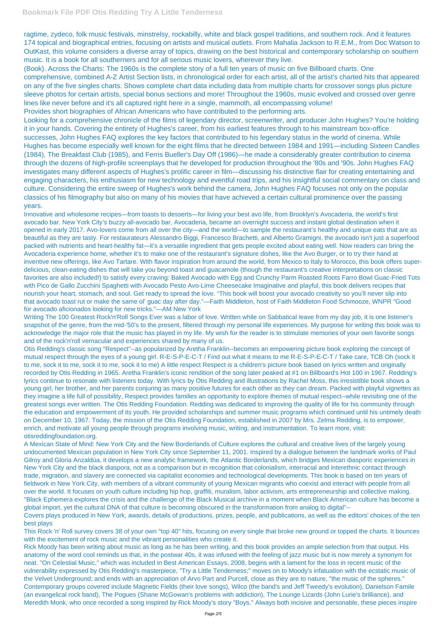ragtime, zydeco, folk music festivals, minstrelsy, rockabilly, white and black gospel traditions, and southern rock. And it features 174 topical and biographical entries, focusing on artists and musical outlets. From Mahalia Jackson to R.E.M., from Doc Watson to OutKast, this volume considers a diverse array of topics, drawing on the best historical and contemporary scholarship on southern music. It is a book for all southerners and for all serious music lovers, wherever they live.

(Book). Across the Charts: The 1960s is the complete story of a full ten years of music on five Billboard charts. One comprehensive, combined A-Z Artist Section lists, in chronological order for each artist, all of the artist's charted hits that appeared on any of the five singles charts. Shows complete chart data including data from multiple charts for crossover songs plus picture sleeve photos for certain artists, special bonus sections and more! Throughout the 1960s, music evolved and crossed over genre lines like never before and it's all captured right here in a single, mammoth, all encompassing volume!

Provides short biographies of African Americans who have contributed to the performing arts.

Looking for a comprehensive chronicle of the films of legendary director, screenwriter, and producer John Hughes? You're holding it in your hands. Covering the entirety of Hughes's career, from his earliest features through to his mainstream box-office successes, John Hughes FAQ explores the key factors that contributed to his legendary status in the world of cinema. While Hughes has become especially well known for the eight films that he directed between 1984 and 1991—including Sixteen Candles (1984), The Breakfast Club (1985), and Ferris Bueller's Day Off (1986)—he made a considerably greater contribution to cinema through the dozens of high-profile screenplays that he developed for production throughout the '80s and '90s. John Hughes FAQ investigates many different aspects of Hughes's prolific career in film—discussing his distinctive flair for creating entertaining and engaging characters, his enthusiasm for new technology and eventful road trips, and his insightful social commentary on class and culture. Considering the entire sweep of Hughes's work behind the camera, John Hughes FAQ focuses not only on the popular classics of his filmography but also on many of his movies that have achieved a certain cultural prominence over the passing years.

Innovative and wholesome recipes—from toasts to desserts—for living your best avo life, from Brooklyn's Avocaderia, the world's first avocado bar. New York City's buzzy all-avocado bar, Avocaderia, became an overnight success and instant global destination when it opened in early 2017. Avo-lovers come from all over the city—and the world—to sample the restaurant's healthy and unique eats that are as beautiful as they are tasty. For restaurateurs Alessandro Biggi, Francesco Brachetti, and Alberto Gramigni, the avocado isn't just a superfood packed with nutrients and heart-healthy fat—it's a versatile ingredient that gets people excited about eating well. Now readers can bring the Avocaderia experience home, whether it's to make one of the restaurant's signature dishes, like the Avo Burger, or to try their hand at inventive new offerings, like Avo Tartare. With flavor inspiration from around the world, from Mexico to Italy to Morocco, this book offers superdelicious, clean-eating dishes that will take you beyond toast and guacamole (though the restaurant's creative interpretations on classic favorites are also included!) to satisfy every craving: Baked Avocado with Egg and Crunchy Parm Roasted Roots Farro Bowl Guac-Fried Tots with Pico de Gallo Zucchini Spaghetti with Avocado Pesto Avo-Lime Cheesecake Imaginative and playful, this book delivers recipes that nourish your heart, stomach, and soul. Get ready to spread the love. "This book will boost your avocado creativity so you'll never slip into that avocado toast rut or make the same ol' guac day after day."—Faith Middleton, host of Faith Middleton Food Schmooze, WNPR "Good for avocado aficionados looking for new tricks."—AM New York

Writing The 100 Greatest Rock'n'Roll Songs Ever was a labor of love. Written while on Sabbatical leave from my day job, it is one listener's snapshot of the genre, from the mid-'50's to the present, filtered through my personal life experiences. My purpose for writing this book was to acknowledge the major role that the music has played in my life. My wish for the reader is to stimulate memories of your own favorite songs and of the rock'n'roll vernacular and experiences shared by many of us.

Otis Redding's classic song "Respect"--as popularized by Aretha Franklin--becomes an empowering picture book exploring the concept of mutual respect through the eyes of a young girl. R-E-S-P-E-C-T / Find out what it means to me R-E-S-P-E-C-T / Take care, TCB Oh (sock it to me, sock it to me, sock it to me, sock it to me) A little respect Respect is a children's picture book based on lyrics written and originally recorded by Otis Redding in 1965. Aretha Franklin's iconic rendition of the song later peaked at #1 on Billboard's Hot 100 in 1967. Redding's lyrics continue to resonate with listeners today. With lyrics by Otis Redding and illustrations by Rachel Moss, this irresistible book shows a young girl, her brother, and her parents conjuring as many positive futures for each other as they can dream. Packed with playful vignettes as they imagine a life full of possibility, Respect provides families an opportunity to explore themes of mutual respect--while revisiting one of the greatest songs ever written. The Otis Redding Foundation. Redding was dedicated to improving the quality of life for his community through the education and empowerment of its youth. He provided scholarships and summer music programs which continued until his untimely death on December 10, 1967. Today, the mission of the Otis Redding Foundation, established in 2007 by Mrs. Zelma Redding, is to empower, enrich, and motivate all young people through programs involving music, writing, and instrumentation. To learn more, visit: otisreddingfoundation.org.

A Mexican State of Mind: New York City and the New Borderlands of Culture explores the cultural and creative lives of the largely young undocumented Mexican population in New York City since September 11, 2001. Inspired by a dialogue between the landmark works of Paul Gilroy and Gloria Anzaldúa, it develops a new analytic framework, the Atlantic Borderlands, which bridges Mexican diasporic experiences in New York City and the black diaspora, not as a comparison but in recognition that colonialism, interracial and interethnic contact through trade, migration, and slavery are connected via capitalist economies and technological developments. This book is based on ten years of fieldwork in New York City, with members of a vibrant community of young Mexican migrants who coexist and interact with people from all over the world. It focuses on youth culture including hip hop, graffiti, muralism, labor activism, arts entrepreneurship and collective making. "Black Ephemera explores the crisis and the challenge of the Black Musical archive in a moment when Black American culture has become a global import, yet the cultural DNA of that culture is becoming obscured in the transformation from analog to digital"-- Covers plays produced in New York, awards, details of productions, prizes, people, and publications, as well as the editors' choices of the ten best plays

This Rock 'n' Roll survey covers 38 of your own "top 40" hits, focusing on every single that broke new ground or topped the charts. It bounces with the excitement of rock music and the vibrant personalities who create it.

Rick Moody has been writing about music as long as he has been writing, and this book provides an ample selection from that output. His anatomy of the word cool reminds us that, in the postwar 40s, it was infused with the feeling of jazz music but is now merely a synonym for neat. "On Celestial Music," which was included in Best American Essays, 2008, begins with a lament for the loss in recent music of the vulnerability expressed by Otis Redding's masterpiece, "Try a Little Tenderness;" moves on to Moody's infatuation with the ecstatic music of the Velvet Underground; and ends with an appreciation of Arvo Part and Purcell, close as they are to nature, "the music of the spheres." Contemporary groups covered include Magnetic Fields (their love songs), Wilco (the band's and Jeff Tweedy's evolution), Danielson Famile (an evangelical rock band), The Pogues (Shane McGowan's problems with addiction), The Lounge Lizards (John Lurie's brilliance), and Meredith Monk, who once recorded a song inspired by Rick Moody's story "Boys." Always both incisive and personable, these pieces inspire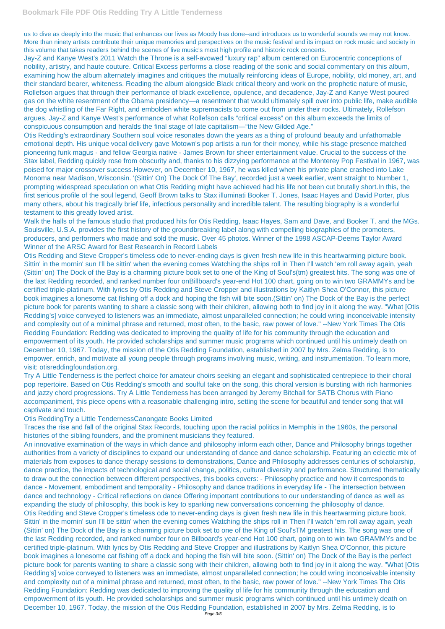us to dive as deeply into the music that enhances our lives as Moody has done--and introduces us to wonderful sounds we may not know. More than ninety artists contribute their unique memories and perspectives on the music festival and its impact on rock music and society in this volume that takes readers behind the scenes of live music's most high profile and historic rock concerts.

Jay-Z and Kanye West's 2011 Watch the Throne is a self-avowed "luxury rap" album centered on Eurocentric conceptions of nobility, artistry, and haute couture. Critical Excess performs a close reading of the sonic and social commentary on this album, examining how the album alternately imagines and critiques the mutually reinforcing ideas of Europe, nobility, old money, art, and their standard bearer, whiteness. Reading the album alongside Black critical theory and work on the prophetic nature of music, Rollefson argues that through their performance of black excellence, opulence, and decadence, Jay-Z and Kanye West poured gas on the white resentment of the Obama presidency—a resentment that would ultimately spill over into public life, make audible the dog whistling of the Far Right, and embolden white supremacists to come out from under their rocks. Ultimately, Rollefson argues, Jay-Z and Kanye West's performance of what Rollefson calls "critical excess" on this album exceeds the limits of conspicuous consumption and heralds the final stage of late capitalism—"the New Gilded Age."

Otis Redding's extraordinary Southern soul voice resonates down the years as a thing of profound beauty and unfathomable emotional depth. His unique vocal delivery gave Motown's pop artists a run for their money, while his stage presence matched pioneering funk magus - and fellow Georgia native - James Brown for sheer entertainment value. Crucial to the success of the Stax label, Redding quickly rose from obscurity and, thanks to his dizzying performance at the Monterey Pop Festival in 1967, was poised for major crossover success.However, on December 10, 1967, he was killed when his private plane crashed into Lake Monoma near Madison, Wisconsin. '(Sittin' On) The Dock Of The Bay', recorded just a week earlier, went straight to Number 1, prompting widespread speculation on what Otis Redding might have achieved had his life not been cut brutally short.In this, the first serious profile of the soul legend, Geoff Brown talks to Stax illuminati Booker T. Jones, Isaac Hayes and David Porter, plus many others, about his tragically brief life, infectious personality and incredible talent. The resulting biography is a wonderful testament to this greatly loved artist.

Walk the halls of the famous studio that produced hits for Otis Redding, Isaac Hayes, Sam and Dave, and Booker T. and the MGs. Soulsville, U.S.A. provides the first history of the groundbreaking label along with compelling biographies of the promoters, producers, and performers who made and sold the music. Over 45 photos. Winner of the 1998 ASCAP-Deems Taylor Award Winner of the ARSC Award for Best Research in Record Labels

Otis Redding and Steve Cropper's timeless ode to never-ending days is given fresh new life in this heartwarming picture book. Sittin' in the mornin' sun I'll be sittin' when the evening comes Watching the ships roll in Then I'll watch 'em roll away again, yeah (Sittin' on) The Dock of the Bay is a charming picture book set to one of the King of Soul's(tm) greatest hits. The song was one of the last Redding recorded, and ranked number four onBillboard's year-end Hot 100 chart, going on to win two GRAMMYs and be certified triple-platinum. With lyrics by Otis Redding and Steve Cropper and illustrations by Kaitlyn Shea O'Connor, this picture book imagines a lonesome cat fishing off a dock and hoping the fish will bite soon.(Sittin' on) The Dock of the Bay is the perfect picture book for parents wanting to share a classic song with their children, allowing both to find joy in it along the way. "What [Otis Redding's] voice conveyed to listeners was an immediate, almost unparalleled connection; he could wring inconceivable intensity and complexity out of a minimal phrase and returned, most often, to the basic, raw power of love." --New York Times The Otis Redding Foundation: Redding was dedicated to improving the quality of life for his community through the education and empowerment of its youth. He provided scholarships and summer music programs which continued until his untimely death on December 10, 1967. Today, the mission of the Otis Redding Foundation, established in 2007 by Mrs. Zelma Redding, is to empower, enrich, and motivate all young people through programs involving music, writing, and instrumentation. To learn more, visit: otisreddingfoundation.org.

Try A Little Tenderness is the perfect choice for amateur choirs seeking an elegant and sophisticated centrepiece to their choral pop repertoire. Based on Otis Redding's smooth and soulful take on the song, this choral version is bursting with rich harmonies and jazzy chord progressions. Try A Little Tenderness has been arranged by Jeremy Bitchall for SATB Chorus with Piano accompaniment, this piece opens with a reasonable challenging intro, setting the scene for beautiful and tender song that will captivate and touch.

Otis ReddingTry a Little TendernessCanongate Books Limited

Traces the rise and fall of the original Stax Records, touching upon the racial politics in Memphis in the 1960s, the personal histories of the sibling founders, and the prominent musicians they featured.

An innovative examination of the ways in which dance and philosophy inform each other, Dance and Philosophy brings together authorities from a variety of disciplines to expand our understanding of dance and dance scholarship. Featuring an eclectic mix of materials from exposes to dance therapy sessions to demonstrations, Dance and Philosophy addresses centuries of scholarship, dance practice, the impacts of technological and social change, politics, cultural diversity and performance. Structured thematically to draw out the connection between different perspectives, this books covers: - Philosophy practice and how it corresponds to dance - Movement, embodiment and temporality - Philosophy and dance traditions in everyday life - The intersection between dance and technology - Critical reflections on dance Offering important contributions to our understanding of dance as well as expanding the study of philosophy, this book is key to sparking new conversations concerning the philosophy of dance. Otis Redding and Steve Cropper's timeless ode to never-ending days is given fresh new life in this heartwarming picture book. Sittin' in the mornin' sun I'll be sittin' when the evening comes Watching the ships roll in Then I'll watch 'em roll away again, yeah (Sittin' on) The Dock of the Bay is a charming picture book set to one of the King of Soul'sTM greatest hits. The song was one of the last Redding recorded, and ranked number four on Billboard's year-end Hot 100 chart, going on to win two GRAMMYs and be certified triple-platinum. With lyrics by Otis Redding and Steve Cropper and illustrations by Kaitlyn Shea O'Connor, this picture book imagines a lonesome cat fishing off a dock and hoping the fish will bite soon. (Sittin' on) The Dock of the Bay is the perfect picture book for parents wanting to share a classic song with their children, allowing both to find joy in it along the way. "What [Otis Redding's] voice conveyed to listeners was an immediate, almost unparalleled connection; he could wring inconceivable intensity and complexity out of a minimal phrase and returned, most often, to the basic, raw power of love." --New York Times The Otis Redding Foundation: Redding was dedicated to improving the quality of life for his community through the education and empowerment of its youth. He provided scholarships and summer music programs which continued until his untimely death on December 10, 1967. Today, the mission of the Otis Redding Foundation, established in 2007 by Mrs. Zelma Redding, is to Page 3/5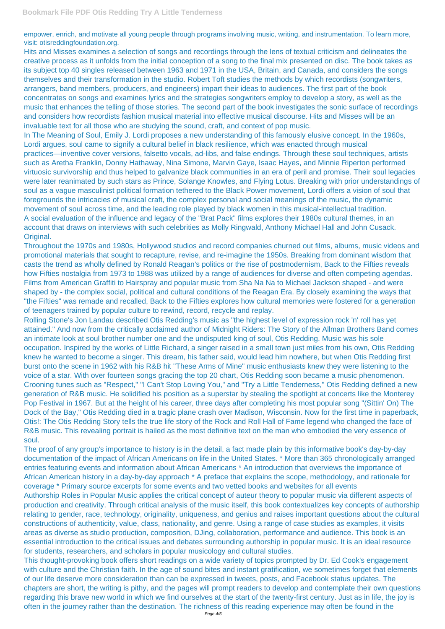empower, enrich, and motivate all young people through programs involving music, writing, and instrumentation. To learn more, visit: otisreddingfoundation.org.

Hits and Misses examines a selection of songs and recordings through the lens of textual criticism and delineates the creative process as it unfolds from the initial conception of a song to the final mix presented on disc. The book takes as its subject top 40 singles released between 1963 and 1971 in the USA, Britain, and Canada, and considers the songs themselves and their transformation in the studio. Robert Toft studies the methods by which recordists (songwriters, arrangers, band members, producers, and engineers) impart their ideas to audiences. The first part of the book concentrates on songs and examines lyrics and the strategies songwriters employ to develop a story, as well as the music that enhances the telling of those stories. The second part of the book investigates the sonic surface of recordings and considers how recordists fashion musical material into effective musical discourse. Hits and Misses will be an invaluable text for all those who are studying the sound, craft, and context of pop music.

In The Meaning of Soul, Emily J. Lordi proposes a new understanding of this famously elusive concept. In the 1960s, Lordi argues, soul came to signify a cultural belief in black resilience, which was enacted through musical practices—inventive cover versions, falsetto vocals, ad-libs, and false endings. Through these soul techniques, artists such as Aretha Franklin, Donny Hathaway, Nina Simone, Marvin Gaye, Isaac Hayes, and Minnie Riperton performed virtuosic survivorship and thus helped to galvanize black communities in an era of peril and promise. Their soul legacies were later reanimated by such stars as Prince, Solange Knowles, and Flying Lotus. Breaking with prior understandings of soul as a vague masculinist political formation tethered to the Black Power movement, Lordi offers a vision of soul that foregrounds the intricacies of musical craft, the complex personal and social meanings of the music, the dynamic movement of soul across time, and the leading role played by black women in this musical-intellectual tradition. A social evaluation of the influence and legacy of the "Brat Pack" films explores their 1980s cultural themes, in an account that draws on interviews with such celebrities as Molly Ringwald, Anthony Michael Hall and John Cusack. Original.

Throughout the 1970s and 1980s, Hollywood studios and record companies churned out films, albums, music videos and promotional materials that sought to recapture, revise, and re-imagine the 1950s. Breaking from dominant wisdom that casts the trend as wholly defined by Ronald Reagan's politics or the rise of postmodernism, Back to the Fifties reveals how Fifties nostalgia from 1973 to 1988 was utilized by a range of audiences for diverse and often competing agendas. Films from American Graffiti to Hairspray and popular music from Sha Na Na to Michael Jackson shaped - and were shaped by - the complex social, political and cultural conditions of the Reagan Era. By closely examining the ways that "the Fifties" was remade and recalled, Back to the Fifties explores how cultural memories were fostered for a generation of teenagers trained by popular culture to rewind, record, recycle and replay.

Rolling Stone's Jon Landau described Otis Redding's music as "the highest level of expression rock 'n' roll has yet attained." And now from the critically acclaimed author of Midnight Riders: The Story of the Allman Brothers Band comes an intimate look at soul brother number one and the undisputed king of soul, Otis Redding. Music was his sole occupation. Inspired by the works of Little Richard, a singer raised in a small town just miles from his own, Otis Redding knew he wanted to become a singer. This dream, his father said, would lead him nowhere, but when Otis Redding first burst onto the scene in 1962 with his R&B hit "These Arms of Mine" music enthusiasts knew they were listening to the voice of a star. With over fourteen songs gracing the top 20 chart, Otis Redding soon became a music phenomenon. Crooning tunes such as "Respect," "I Can't Stop Loving You," and "Try a Little Tenderness," Otis Redding defined a new generation of R&B music. He solidified his position as a superstar by stealing the spotlight at concerts like the Monterey Pop Festival in 1967. But at the height of his career, three days after completing his most popular song "(Sittin' On) The Dock of the Bay," Otis Redding died in a tragic plane crash over Madison, Wisconsin. Now for the first time in paperback, Otis!: The Otis Redding Story tells the true life story of the Rock and Roll Hall of Fame legend who changed the face of R&B music. This revealing portrait is hailed as the most definitive text on the man who embodied the very essence of soul.

The proof of any group's importance to history is in the detail, a fact made plain by this informative book's day-by-day documentation of the impact of African Americans on life in the United States. \* More than 365 chronologically arranged entries featuring events and information about African Americans \* An introduction that overviews the importance of African American history in a day-by-day approach \* A preface that explains the scope, methodology, and rationale for coverage \* Primary source excerpts for some events and two vetted books and websites for all events Authorship Roles in Popular Music applies the critical concept of auteur theory to popular music via different aspects of production and creativity. Through critical analysis of the music itself, this book contextualizes key concepts of authorship relating to gender, race, technology, originality, uniqueness, and genius and raises important questions about the cultural constructions of authenticity, value, class, nationality, and genre. Using a range of case studies as examples, it visits areas as diverse as studio production, composition, DJing, collaboration, performance and audience. This book is an essential introduction to the critical issues and debates surrounding authorship in popular music. It is an ideal resource for students, researchers, and scholars in popular musicology and cultural studies. This thought-provoking book offers short readings on a wide variety of topics prompted by Dr. Ed Cook's engagement with culture and the Christian faith. In the age of sound bites and instant gratification, we sometimes forget that elements of our life deserve more consideration than can be expressed in tweets, posts, and Facebook status updates. The chapters are short, the writing is pithy, and the pages will prompt readers to develop and contemplate their own questions regarding this brave new world in which we find ourselves at the start of the twenty-first century. Just as in life, the joy is often in the journey rather than the destination. The richness of this reading experience may often be found in the Page 4/5